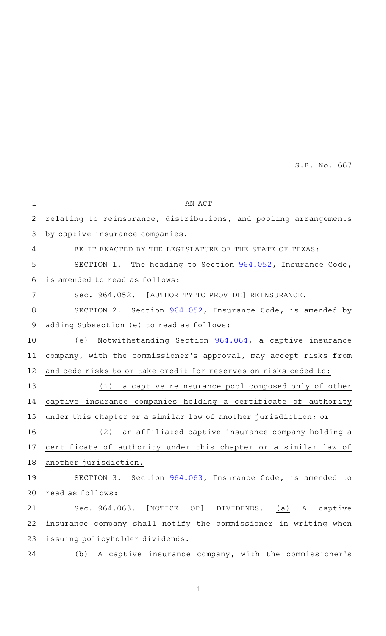S.B. No. 667

| $\mathbf 1$  | AN ACT                                                           |
|--------------|------------------------------------------------------------------|
| $\mathbf{2}$ | relating to reinsurance, distributions, and pooling arrangements |
| 3            | by captive insurance companies.                                  |
| 4            | BE IT ENACTED BY THE LEGISLATURE OF THE STATE OF TEXAS:          |
| 5            | SECTION 1. The heading to Section 964.052, Insurance Code,       |
| 6            | is amended to read as follows:                                   |
| 7            | Sec. 964.052. [AUTHORITY TO PROVIDE] REINSURANCE.                |
| 8            | SECTION 2. Section 964.052, Insurance Code, is amended by        |
| $\mathsf 9$  | adding Subsection (e) to read as follows:                        |
| 10           | (e) Notwithstanding Section 964.064, a captive insurance         |
| 11           | company, with the commissioner's approval, may accept risks from |
| 12           | and cede risks to or take credit for reserves on risks ceded to: |
| 13           | (1) a captive reinsurance pool composed only of other            |
| 14           | captive insurance companies holding a certificate of authority   |
| 15           | under this chapter or a similar law of another jurisdiction; or  |
| 16           | (2) an affiliated captive insurance company holding a            |
| 17           | certificate of authority under this chapter or a similar law of  |
| 18           | another jurisdiction.                                            |
| 19           | SECTION 3. Section 964.063, Insurance Code, is amended to        |
| 20           | read as follows:                                                 |
| 21           | Sec. 964.063.<br>[NOTICE OF] DIVIDENDS. (a) A captive            |
| 22           | insurance company shall notify the commissioner in writing when  |
| 23           | issuing policyholder dividends.                                  |
| 24           | A captive insurance company, with the commissioner's<br>(b)      |
|              |                                                                  |

1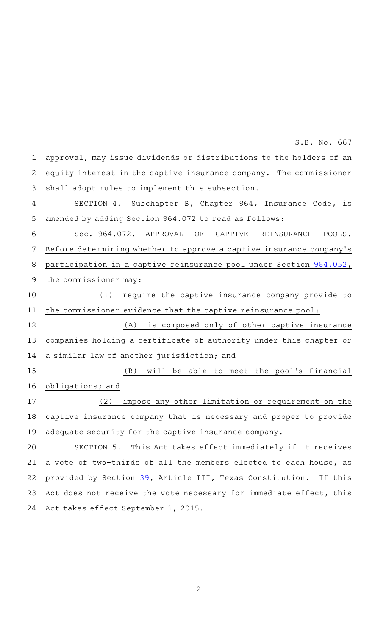| $\mathbf 1$    | approval, may issue dividends or distributions to the holders of an |
|----------------|---------------------------------------------------------------------|
| $\overline{2}$ | equity interest in the captive insurance company. The commissioner  |
| 3              | shall adopt rules to implement this subsection.                     |
| 4              | SECTION 4. Subchapter B, Chapter 964, Insurance Code, is            |
| 5              | amended by adding Section 964.072 to read as follows:               |
| 6              | Sec. 964.072. APPROVAL<br>ΟF<br>CAPTIVE<br>REINSURANCE<br>POOLS.    |
| 7              | Before determining whether to approve a captive insurance company's |
| 8              | participation in a captive reinsurance pool under Section 964.052,  |
| 9              | the commissioner may:                                               |
| 10             | require the captive insurance company provide to<br>(1)             |
| 11             | the commissioner evidence that the captive reinsurance pool:        |
| 12             | (A) is composed only of other captive insurance                     |
| 13             | companies holding a certificate of authority under this chapter or  |
| 14             | a similar law of another jurisdiction; and                          |
| 15             | (B) will be able to meet the pool's financial                       |
| 16             | obligations; and                                                    |
| 17             | impose any other limitation or requirement on the<br>(2)            |
| 18             | captive insurance company that is necessary and proper to provide   |
| 19             | adequate security for the captive insurance company.                |
| 20             | SECTION 5. This Act takes effect immediately if it receives         |
| 21             | a vote of two-thirds of all the members elected to each house, as   |
| 22             | provided by Section 39, Article III, Texas Constitution. If this    |
| 23             | Act does not receive the vote necessary for immediate effect, this  |
| 24             | Act takes effect September 1, 2015.                                 |

S.B. No. 667

2